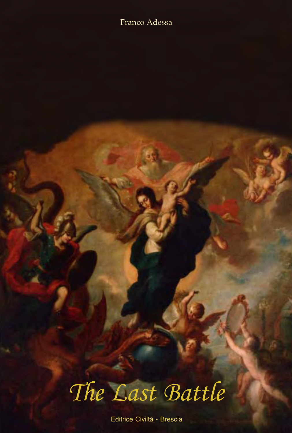#### Franco Adessa

# *The Last Battle*

Editrice Civiltà - Brescia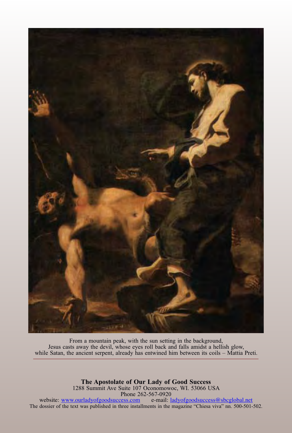

From a mountain peak, with the sun setting in the background, Jesus casts away the devil, whose eyes roll back and falls amidst a hellish glow, while Satan, the ancient serpent, already has entwined him between its coils – Mattia Preti.

**The Apostolate of Our Lady of Good Success**  1288 Summit Ave Suite 107 Oconomowoc, WI. 53066 USA Phone 262-567-0920

website: www.ourladyofgoodsuccess.com e-mail: ladyofgoodsuccess@sbcglobal.net The dossier of the text was published in three installments in the magazine "Chiesa viva" nn. 500-501-502.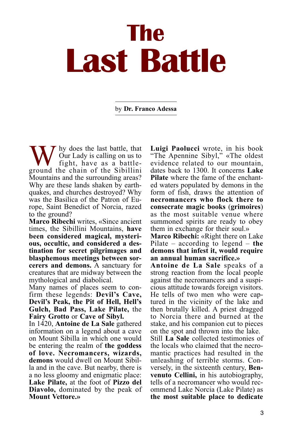# **The Last Battle**

by **Dr. Franco Adessa**

 $\overline{I}$  hy does the last battle, that Our Lady is calling on us to fight, have as a battleground the chain of the Sibillini Mountains and the surrounding areas? Why are these lands shaken by earthquakes, and churches destroyed? Why was the Basilica of the Patron of Europe, Saint Benedict of Norcia, razed to the ground?

**Marco Ribechi** writes, «Since ancient times, the Sibillini Mountains, **have been considered magical, mysterious, occultic, and considered a destination for secret pilgrimages and blasphemous meetings between sorcerers and demons.** A sanctuary for creatures that are midway between the mythological and diabolical.

Many names of places seem to confirm these legends: **Devil's Cave, Devil's Peak, the Pit of Hell, Hell's Gulch, Bad Pass, Lake Pilate,** the **Fairy Grotto** or **Cave of Sibyl.**

In 1420, **Antoine de La Sale** gathered information on a legend about a cave on Mount Sibilla in which one would be entering the realm of **the goddess of love. Necromancers, wizards, demons** would dwell on Mount Sibilla and in the cave. But nearby, there is a no less gloomy and enigmatic place: **Lake Pilate,** at the foot of **Pizzo del Diavolo,** dominated by the peak of **Mount Vettore.»**

**Luigi Paolucci** wrote, in his book "The Apennine Sibyl," «The oldest evidence related to our mountain, dates back to 1300. It concerns **Lake Pilate** where the fame of the enchanted waters populated by demons in the form of fish, draws the attention of **necromancers who flock there to consecrate magic books** (**grimoires**) as the most suitable venue where summoned spirits are ready to obey them in exchange for their soul.»

**Marco Ribechi:** «Right there on Lake Pilate – according to legend – **the demons that infest it, would require an annual human sacrifice.»**

**Antoine de La Sale** speaks of a strong reaction from the local people against the necromancers and a suspicious attitude towards foreign visitors. He tells of two men who were captured in the vicinity of the lake and then brutally killed. A priest dragged to Norcia there and burned at the stake, and his companion cut to pieces on the spot and thrown into the lake.

Still **La Sale** collected testimonies of the locals who claimed that the necromantic practices had resulted in the unleashing of terrible storms. Conversely, in the sixteenth century, **Benvenuto Cellini,** in his autobiography, tells of a necromancer who would recommend Lake Norcia (Lake Pilate) as **the most suitable place to dedicate**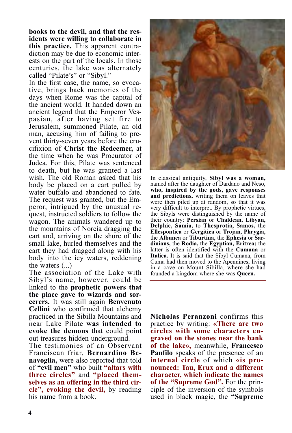**books to the devil, and that the residents were willing to collaborate in this practice.** This apparent contradiction may be due to economic interests on the part of the locals. In those centuries, the lake was alternately called "Pilate's" or "Sibyl."

In the first case, the name, so evocative, brings back memories of the days when Rome was the capital of the ancient world. It handed down an ancient legend that the Emperor Vespasian, after having set fire to Jerusalem, summoned Pilate, an old man, accusing him of failing to prevent thirty-seven years before the crucifixion of **Christ the Redeemer,** at the time when he was Procurator of Judea. For this, Pilate was sentenced to death, but he was granted a last wish. The old Roman asked that his body be placed on a cart pulled by water buffalo and abandoned to fate. The request was granted, but the Emperor, intrigued by the unusual request, instructed soldiers to follow the wagon. The animals wandered up to the mountains of Norcia dragging the cart and, arriving on the shore of the small lake, hurled themselves and the cart they had dragged along with his body into the icy waters, reddening the waters (...)

The association of the Lake with Sibyl's name, however, could be linked to the **prophetic powers that the place gave to wizards and sorcerers.** It was still again **Benvenuto Cellini** who confirmed that alchemy practiced in the Sibilla Mountains and near Lake Pilate **was intended to evoke the demons** that could point out treasures hidden underground.

The testimonies of an Observant Franciscan friar, **Bernardino Benavoglia,** were also reported that told of **"evil men"** who built **"altars with three circles"** and **"placed themselves as an offering in the third circle", evoking the devil,** by reading his name from a book.



In classical antiquity, **Sibyl was a woman,** named after the daughter of Dardano and Neso, **who, inspired by the gods, gave responses and predictions,** writing them on leaves that were then piled up at random, so that it was very difficult to interpret. By prophetic virtues, the Sibyls were distinguished by the name of their country: **Persian** or **Chaldean, Libyan, Delphic, Samia,** to **Thesprotia, Samos,** the **Ellespontica** or **Gergitica** or **Trojan, Phrygia,** the **Albunea** or **Tiburtina,** the **Ephesia** or **Sardinians,** the **Rodia,** the **Egyptian, Eritrea;** the latter is often identified with the **Cumana** or **Italica.** It is said that the Sibyl Cumana, from Cuma had then moved to the Apennines, living in a cave on Mount Sibilla, where she had founded a kingdom where she was **Queen.**

**Nicholas Peranzoni** confirms this practice by writing: **«There are two circles with some characters engraved on the stones near the bank of the lake»,** meanwhile, **Francesco Panfilo** speaks of the presence of an **internal circle** of which **«is pronounced: Tau, Erux and a different character, which indicate the names of the "Supreme God".** For the principle of the inversion of the symbols used in black magic, the **"Supreme**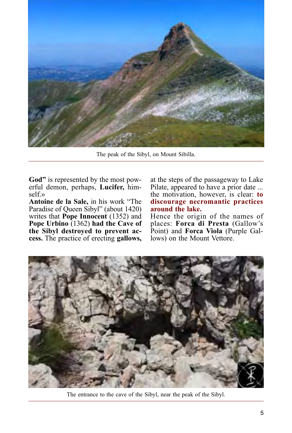

The peak of the Sibyl, on Mount Sibilla.

**God"** is represented by the most powerful demon, perhaps, **Lucifer,** himself.»

**Antoine de la Sale,** in his work "The Paradise of Queen Sibyl" (about 1420) writes that **Pope Innocent** (1352) and **Pope Urbino** (1362) **had the Cave of the Sibyl destroyed to prevent access.** The practice of erecting **gallows,**

at the steps of the passageway to Lake Pilate, appeared to have a prior date ... the motivation, however, is clear: **to discourage necromantic practices around the lake.**

Hence the origin of the names of places: **Forca di Presta** (Gallow's Point) and **Forca Viola** (Purple Gallows) on the Mount Vettore.



The entrance to the cave of the Sibyl, near the peak of the Sibyl.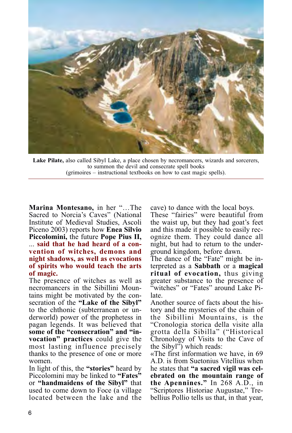

**Lake Pilate,** also called Sibyl Lake, a place chosen by necromancers, wizards and sorcerers, to summon the devil and consecrate spell books (grimoires – instructional textbooks on how to cast magic spells).

**Marina Montesano,** in her "…The Sacred to Norcia's Caves" (National Institute of Medieval Studies, Ascoli Piceno 2003) reports how **Enea Silvio Piccolomini,** the future **Pope Pius II,** ... **said that he had heard of a convention of witches, demons and night shadows, as well as evocations of spirits who would teach the arts of magic.**

The presence of witches as well as necromancers in the Sibillini Mountains might be motivated by the consecration of the **"Lake of the Sibyl"** to the chthonic (subterranean or underworld) power of the prophetess in pagan legends. It was believed that **some of the "consecration" and "invocation" practices** could give the most lasting influence precisely thanks to the presence of one or more women.

In light of this, the **"stories"** heard by Piccolomini may be linked to **"Fates"** or **"handmaidens of the Sibyl"** that used to come down to Foce (a village located between the lake and the cave) to dance with the local boys.

These "fairies" were beautiful from the waist up, but they had goat's feet and this made it possible to easily recognize them. They could dance all night, but had to return to the underground kingdom, before dawn.

The dance of the "Fate" might be interpreted as a **Sabbath** or a **magical ritual of evocation,** thus giving greater substance to the presence of "witches" or "Fates" around Lake Pilate.

Another source of facts about the history and the mysteries of the chain of the Sibillini Mountains, is the "Cronologia storica della visite alla grotta della Sibilla" ("Historical Chronology of Visits to the Cave of the Sibyl") which reads:

«The first information we have, in 69 A.D. is from Suetonius Vitellius when he states that **"a sacred vigil was celebrated on the mountain range of the Apennines."** In 268 A.D., in "Scriptores Historiae Augustae," Trebellius Pollio tells us that, in that year,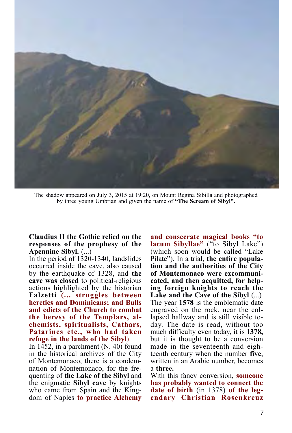

The shadow appeared on July 3, 2015 at 19:20, on Mount Regina Sibilla and photographed by three young Umbrian and given the name of **"The Scream of Sibyl".**

#### **Claudius II the Gothic relied on the responses of the prophesy of the Apennine Sibyl.** (...)

In the period of 1320-1340, landslides occurred inside the cave, also caused by the earthquake of 1328, and **the cave was closed** to political-religious actions highlighted by the historian **Falzetti (... struggles between heretics and Dominicans; and Bulls and edicts of the Church to combat the heresy of the Templars, alchemists, spiritualists, Cathars, Patarines etc., who had taken refuge in the lands of the Sibyl**).

In 1452, in a parchment (N. 40) found in the historical archives of the City of Montemonaco, there is a condemnation of Montemonaco, for the frequenting of **the Lake of the Sibyl** and the enigmatic **Sibyl cave** by knights who came from Spain and the Kingdom of Naples **to practice Alchemy**

**and consecrate magical books "to lacum Sibyllae"** ("to Sibyl Lake") (which soon would be called "Lake Pilate"). In a trial, **the entire population and the authorities of the City of Montemonaco were excommunicated, and then acquitted, for helping foreign knights to reach the Lake and the Cave of the Sibyl** (...) The year **1578** is the emblematic date engraved on the rock, near the collapsed hallway and is still visible today. The date is read, without too much difficulty even today, it is **1378,** but it is thought to be a conversion made in the seventeenth and eighteenth century when the number **five**, written in an Arabic number, becomes a **three.**

With this fancy conversion, **someone has probably wanted to connect the date of birth** (in 1378) **of the legendary Christian Rosenkreuz**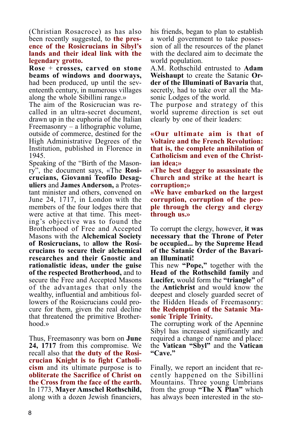(Christian Rosacroce) as has also been recently suggested, to **the presence of the Rosicrucians in Sibyl's lands and their ideal link with the legendary grotto.**

**Rose** + **crosses, carved on stone beams of windows and doorways,** had been produced, up until the seventeenth century, in numerous villages along the whole Sibillini range.»

The aim of the Rosicrucian was recalled in an ultra-secret document, drawn up in the euphoria of the Italian Freemasonry – a lithographic volume, outside of commerce, destined for the High Administrative Degrees of the Institution, published in Florence in 1945.

Speaking of the "Birth of the Masonry", the document says, «The **Rosicrucians, Giovanni Teofilo Desaguliers** and **James Anderson,** a Protestant minister and others, convened on June 24, 1717, in London with the members of the four lodges there that were active at that time. This meeting's objective was to found the Brotherhood of Free and Accepted Masons with the **Alchemical Society of Rosicrucians,** to **allow the Rosicrucians to secure their alchemical researches and their Gnostic and rationalistic ideas, under the guise of the respected Brotherhood,** and to secure the Free and Accepted Masons of the advantages that only the wealthy, influential and ambitious followers of the Rosicrucians could procure for them, given the real decline that threatened the primitive Brotherhood.»

Thus, Freemasonry was born on **June 24, 1717** from this compromise. We recall also that **the duty of the Rosicrucian Knight is to fight Catholicism** and its ultimate purpose is to **obliterate the Sacrifice of Christ on the Cross from the face of the earth.** In 1773, **Mayer Amschel Rothschild,** along with a dozen Jewish financiers,

his friends, began to plan to establish a world government to take possession of all the resources of the planet with the declared aim to decimate the world population.

A.M. Rothschild entrusted to **Adam Weishaupt** to create the Satanic **Order of the Illuminati of Bavaria** that, secretly, had to take over all the Masonic Lodges of the world.

The purpose and strategy of this world supreme direction is set out clearly by one of their leaders:

**«Our ultimate aim is that of Voltaire and the French Revolution: that is, the complete annihilation of Catholicism and even of the Christian idea;»**

**«The best dagger to assassinate the Church and strike at the heart is corruption;»**

**«We have embarked on the largest corruption, corruption of the people through the clergy and clergy through us.»**

To corrupt the clergy, however, **it was necessary that the Throne of Peter be occupied... by the Supreme Head of the Satanic Order of the Bavarian Illuminati!**

This new **"Pope,"** together with the **Head of the Rothschild family** and **Lucifer,** would form the **"triangle"** of the **Antichrist** and would know the deepest and closely guarded secret of the Hidden Heads of Freemasonry: **the Redemption of the Satanic Masonic Triple Trinity.**

The corrupting work of the Apennine Sibyl has increased significantly and required a change of name and place: the **Vatican "Sbyl"** and the **Vatican "Cave."**

Finally, we report an incident that recently happened on the Sibillini Mountains. Three young Umbrians from the group **"The X Plan"** which has always been interested in the sto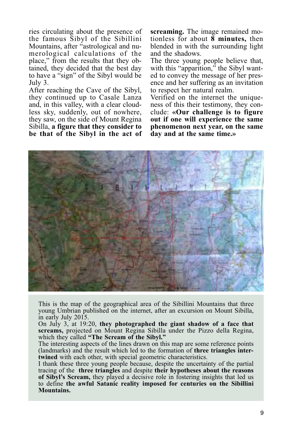ries circulating about the presence of the famous Sibyl of the Sibillini Mountains, after "astrological and numerological calculations of the place," from the results that they obtained, they decided that the best day to have a "sign" of the Sibyl would be July 3.

After reaching the Cave of the Sibyl, they continued up to Casale Lanza and, in this valley, with a clear cloudless sky, suddenly, out of nowhere, they saw, on the side of Mount Regina Sibilla, **a figure that they consider to be that of the Sibyl in the act of** **screaming.** The image remained motionless for about **8 minutes,** then blended in with the surrounding light and the shadows.

The three young people believe that, with this "apparition," the Sibyl wanted to convey the message of her presence and her suffering as an invitation to respect her natural realm.

Verified on the internet the uniqueness of this their testimony, they conclude: **«Our challenge is to figure out if one will experience the same phenomenon next year, on the same day and at the same time.»**



This is the map of the geographical area of the Sibillini Mountains that three young Umbrian published on the internet, after an excursion on Mount Sibilla, in early July 2015.

On July 3, at 19:20, **they photographed the giant shadow of a face that screams,** projected on Mount Regina Sibilla under the Pizzo della Regina, which they called **"The Scream of the Sibyl."**

The interesting aspects of the lines drawn on this map are some reference points (landmarks) and the result which led to the formation of **three triangles intertwined** with each other, with special geometric characteristics.

I thank these three young people because, despite the uncertainty of the partial tracing of the **three triangles** and despite **their hypotheses about the reasons of Sibyl's Scream,** they played a decisive role in fostering insights that led us to define **the awful Satanic reality imposed for centuries on the Sibillini Mountains.**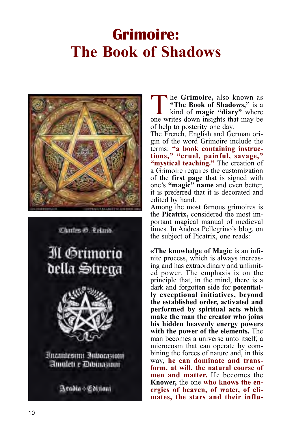## **Grimoire: The Book of Shadows**





he Grimoire, also known as **"The Book of Shadows,"** is a kind of **magic "diary"** where one writes down insights that may be of help to posterity one day.

The French, English and German origin of the word Grimoire include the terms: **"a book containing instructions," "cruel, painful, savage," "mystical teaching."** The creation of a Grimoire requires the customization of the **first page** that is signed with one's **"magic" name** and even better, it is preferred that it is decorated and edited by hand.

Among the most famous grimoires is the **Picatrix,** considered the most important magical manual of medieval times. In Andrea Pellegrino's blog, on the subject of Picatrix, one reads:

**«The knowledge of Magic** is an infinite process, which is always increasing and has extraordinary and unlimited power. The emphasis is on the principle that, in the mind, there is a dark and forgotten side for **potentially exceptional initiatives, beyond the established order, activated and performed by spiritual acts which make the man the creator who joins his hidden heavenly energy powers with the power of the elements.** The man becomes a universe unto itself, a microcosm that can operate by combining the forces of nature and, in this way, **he can dominate and transform, at will, the natural course of men and matter.** He becomes the **Knower,** the one **who knows the energies of heaven, of water, of climates, the stars and their influ-**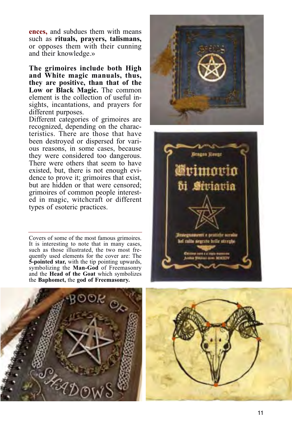**ences,** and subdues them with means such as **rituals, prayers, talismans,** or opposes them with their cunning and their knowledge.»

**The grimoires include both High and White magic manuals, thus, they are positive, than that of the Low or Black Magic.** The common element is the collection of useful insights, incantations, and prayers for different purposes.

Different categories of grimoires are recognized, depending on the characteristics. There are those that have been destroyed or dispersed for various reasons, in some cases, because they were considered too dangerous. There were others that seem to have existed, but, there is not enough evidence to prove it; grimoires that exist, but are hidden or that were censored; grimoires of common people interested in magic, witchcraft or different types of esoteric practices.

Covers of some of the most famous grimoires. It is interesting to note that in many cases, such as those illustrated, the two most frequently used elements for the cover are: The **5-pointed star,** with the tip pointing upwards, symbolizing the **Man-God** of Freemasonry and the **Head of the Goat** which symbolizes the **Baphomet,** the **god of Freemasonry.**





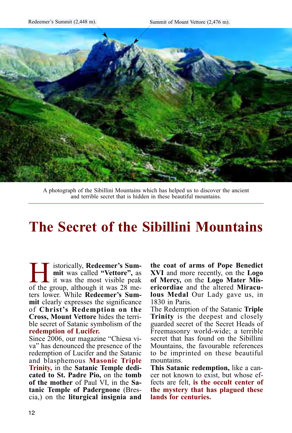

A photograph of the Sibillini Mountains which has helped us to discover the ancient and terrible secret that is hidden in these beautiful mountains.

## **The Secret of the Sibillini Mountains**

**Human** istorically, **Redeemer's Sum-**<br>
it was called "Vettore", as<br>
of the group, although it was 28 me**mit** was called **"Vettore",** as of the group, although it was 28 meters lower. While **Redeemer's Summit** clearly expresses the significance of **Christ's Redemption on the Cross, Mount Vettore** hides the terrible secret of Satanic symbolism of the **redemption of Lucifer.**

Since 2006, our magazine "Chiesa viva" has denounced the presence of the redemption of Lucifer and the Satanic and blasphemous **Masonic Triple Trinity,** in the **Satanic Temple dedicated to St. Padre Pio,** on the **tomb of the mother** of Paul VI, in the **Satanic Temple of Padergnone** (Brescia,) on the **liturgical insignia and** **the coat of arms of Pope Benedict XVI** and more recently, on the **Logo of Mercy,** on the **Logo Mater Misericordiae** and the altered **Miraculous Medal** Our Lady gave us, in 1830 in Paris.

The Redemption of the Satanic **Triple Trinity** is the deepest and closely guarded secret of the Secret Heads of Freemasonry world-wide; a terrible secret that has found on the Sibillini Mountains, the favourable references to be imprinted on these beautiful mountains.

**This Satanic redemption,** like a cancer not known to exist, but whose effects are felt, **is the occult center of the mystery that has plagued these lands for centuries.**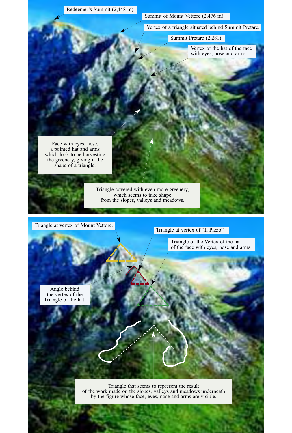

Triangle that seems to represent the result of the work made on the slopes, valleys and meadows underneath by the figure whose face, eyes, nose and arms are visible.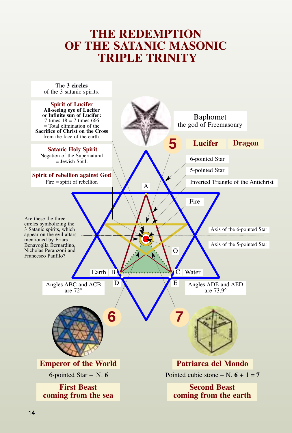### **THE REDEMPTION OF THE SATANIC MASONIC TRIPLE TRINITY**

The **3 circles** of the 3 satanic spirits.

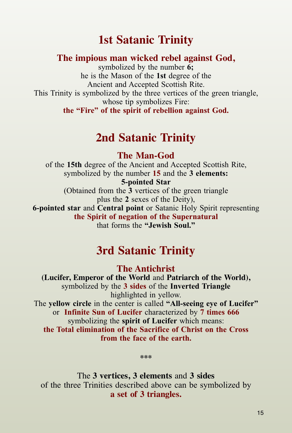### **1st Satanic Trinity**

#### **The impious man wicked rebel against God,**

symbolized by the number **6;** he is the Mason of the **1st** degree of the Ancient and Accepted Scottish Rite. This Trinity is symbolized by the three vertices of the green triangle, whose tip symbolizes Fire: **the "Fire" of the spirit of rebellion against God.**

### **2nd Satanic Trinity**

**The Man-God** 

of the **15th** degree of the Ancient and Accepted Scottish Rite, symbolized by the number **15** and the **3 elements: 5-pointed Star** (Obtained from the **3** vertices of the green triangle plus the **2** sexes of the Deity), **6-pointed star** and **Central point** or Satanic Holy Spirit representing

**the Spirit of negation of the Supernatural**  that forms the **"Jewish Soul."**

### **3rd Satanic Trinity**

**The Antichrist**

**(Lucifer, Emperor of the World** and **Patriarch of the World),**  symbolized by the **3 sides** of the **Inverted Triangle** highlighted in yellow. The **yellow circle** in the center is called **"All-seeing eye of Lucifer"** or **Infinite Sun of Lucifer** characterized by **7 times 666** symbolizing the **spirit of Lucifer** which means: **the Total elimination of the Sacrifice of Christ on the Cross from the face of the earth.**

**\*\*\***

The **3 vertices, 3 elements** and **3 sides** of the three Trinities described above can be symbolized by **a set of 3 triangles.**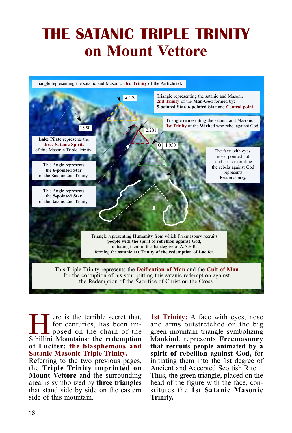# **THE SATANIC TRIPLE TRINITY on Mount Vettore**



For eis the terrible secret that,<br>for centuries, has been im-<br>posed on the chain of the<br>Sibillini Mountains: the redemntion for centuries, has been imposed on the chain of the Sibillini Mountains: **the redemption of Lucifer: the blasphemous and Satanic Masonic Triple Trinity.**

Referring to the two previous pages, the **Triple Trinity imprinted on Mount Vettore** and the surrounding area, is symbolized by **three triangles** that stand side by side on the eastern side of this mountain.

**1st Trinity:** A face with eyes, nose and arms outstretched on the big green mountain triangle symbolizing Mankind, represents **Freemasonry that recruits people animated by a spirit of rebellion against God,** for initiating them into the 1st degree of Ancient and Accepted Scottish Rite. Thus, the green triangle, placed on the head of the figure with the face, constitutes the **1st Satanic Masonic**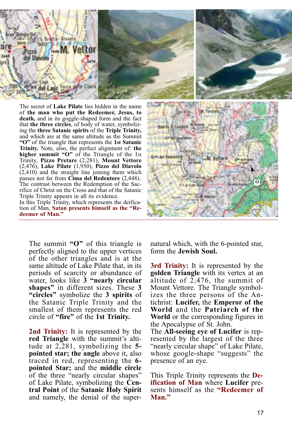

The secret of **Lake Pilate** lies hidden in the name of **the man who put the Redeemer, Jesus, to death,** and in its goggle-shaped form and the fact that **the three circles**, of body of water, symbolizing the **three Satanic spirits** of the **Triple Trinity,** and which are at the same altitude as the Summit **"O"** of the triangle that represents the **1st Satanic Trinity.** Note, also, the perfect alignment of: **the higher summit "O"** of the Triangle of the 1st Trinity, **Pizzo Pretare** (2,281), **Mount Vettore** (2,476), **Lake Pilate** (1,950), **Pizzo del Diavolo**  $(2,410)$  and the straight line joining them which passes not far from **Cima del Redentore** (2,448). The contrast between the Redemption of the Sacrifice of Christ on the Cross and that of the Satanic Triple Trinity appears in all its evidence. In this Triple Trinity, which represents the deifica-

tion of Man, **Satan presents himself as the "Redeemer of Man."**



The summit **"O"** of this triangle is perfectly aligned to the upper vertices of the other triangles and is at the same altitude of Lake Pilate that, in its periods of scarcity or abundance of water, looks like **3 "nearly circular shapes"** in different sizes. These **3 "circles"** symbolize the **3 spirits** of the Satanic Triple Trinity and the smallest of them represents the red circle of **"fire"** of the **1st Trinity.**

**2nd Trinity:** It is represented by the **red Triangle** with the summit's altitude at 2,281, symbolizing the **5 pointed star; the angle** above it, also traced in red, representing the **6 pointed Star;** and the **middle circle** of the three "nearly circular shapes" of Lake Pilate, symbolizing the **Central Point** of the **Satanic Holy Spirit** and namely, the denial of the supernatural which, with the 6-pointed star, form the **Jewish Soul.**

**3rd Trinity:** It is represented by the **golden Triangle** with its vertex at an altitude of 2,476, the summit of Mount Vettore. The Triangle symbolizes the three persons of the Antichrist: **Lucifer,** the **Emperor of the World** and the **Patriarch of the World** or the corresponding figures in the Apocalypse of St. John.

The **All-seeing eye of Lucifer** is represented by the largest of the three "nearly circular shape" of Lake Pilate, whose google-shape "suggests" the presence of an eye.

This Triple Trinity represents the **Deification of Man** where **Lucifer** presents himself as the **"Redeemer of Man."**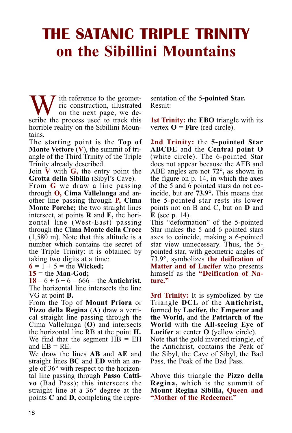# **THE SATANIC TRIPLE TRINITY on the Sibillini Mountains**

 $\sum_{i=1}^{n}$  ith reference to the geometric construction, illustrated on the next page, we describe the process used to track this horrible reality on the Sibillini Mountains.

The starting point is the **Top of Monte Vettore** (**V**), the summit of triangle of the Third Trinity of the Triple Trinity already described.

Join **V** with **G,** the entry point the **Grotta della Sibilla** (Sibyl's Cave).

From **G** we draw a line passing through **O, Cima Vallelunga** and another line passing through **P, Cima Monte Porche;** the two straight lines intersect, at points **R** and **E,** the horizontal line (West-East) passing through the **Cima Monte della Croce** (1,580 m). Note that this altitude is a number which contains the secret of the Triple Trinity: it is obtained by taking two digits at a time:

 $6 = 1 + 5 =$  the **Wicked**:

**15** = the **Man-God;**

 $18 = 6 + 6 + 6 = 666 =$  the **Antichrist.** The horizontal line intersects the line VG at point **B.**

From the Top of **Mount Priora** or **Pizzo della Regina** (**A**) draw a vertical straight line passing through the Cima Vallelunga (**O**) and intersects the horizontal line RB at the point **H.** We find that the segment HB = EH and  $EB = RE$ .

We draw the lines **AB** and **AE** and straight lines **BC** and **ED** with an angle of 36° with respect to the horizontal line passing through **Passo Cattivo** (Bad Pass); this intersects the straight line at a 36° degree at the points **C** and **D,** completing the representation of the 5**-pointed Star.** Result:

**1st Trinity:** the **EBO** triangle with its vertex  $\mathbf{O} = \mathbf{Fire}$  (red circle).

**2nd Trinity:** the **5-pointed Star ABCDE** and the **Central point O** (white circle). The 6-pointed Star does not appear because the AEB and ABE angles are not **72°,** as shown in the figure on p. 14, in which the axes of the 5 and 6 pointed stars do not coincide, but are **73.9°.** This means that the 5-pointed star rests its lower points not on B and C, but on **D** and **E** (see p. 14).

This "deformation" of the 5-pointed Star makes the 5 and 6 pointed stars axes to coincide, making a 6-pointed star view unnecessary. Thus, the 5 pointed star, with geometric angles of 73.9°, symbolizes **the deification of Matter and of Lucifer** who presents himself as the "Deification of Na**ture."**

**3rd Trinity:** It is symbolized by the Triangle **DCL** of the **Antichrist,** formed by **Lucifer,** the **Emperor and the World,** and the **Patriarch of the World** with the **All-seeing Eye of Lucifer** at center **O** (yellow circle). Note that the gold inverted triangle, of the Antichrist, contains the Peak of the Sibyl, the Cave of Sibyl, the Bad Pass, the Peak of the Bad Pass.

Above this triangle the **Pizzo della Regina,** which is the summit of **Mount Regina Sibilla, Queen and "Mother of the Redeemer."**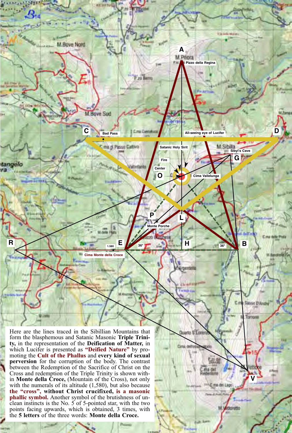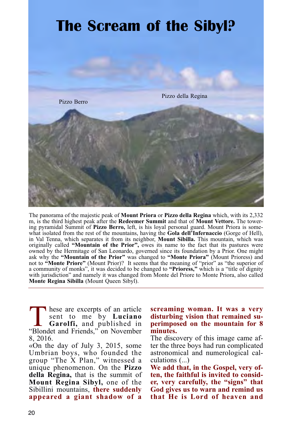

The panorama of the majestic peak of **Mount Priora** or **Pizzo della Regina** which, with its 2,332 m, is the third highest peak after the **Redeemer Summit** and that of **Mount Vettore.** The towering pyramidal Summit of **Pizzo Berro,** left, is his loyal personal guard. Mount Priora is somewhat isolated from the rest of the mountains, having the **Gola dell'Infernaccio** (Gorge of Hell), in Val Tenna, which separates it from its neighbor, **Mount Sibilla.** This mountain, which was originally called **"Mountain of the Prior",** owes its name to the fact that its pastures were owned by the Hermitage of San Leonardo, governed since its foundation by a Prior. One might ask why the **"Mountain of the Prior"** was changed to **"Monte Priora"** (Mount Prioress) and not to **"Monte Priore"** (Mount Prior)? It seems that the meaning of "prior" as "the superior of a community of monks", it was decided to be changed to **"Prioress,"** which is a "title of dignity with jurisdiction" and namely it was changed from Monte del Priore to Monte Priora, also called **Monte Regina Sibilla** (Mount Queen Sibyl).

These are excerpts of an article<br>sent to me by **Luciano**<br>Garolfi, and published in<br>"Blondet and Friends." on November sent to me by **Luciano Garolfi,** and published in "Blondet and Friends," on November 8, 2016.

«On the day of July 3, 2015, some Umbrian boys, who founded the group "The X Plan," witnessed a unique phenomenon. On the **Pizzo della Regina,** that is the summit of **Mount Regina Sibyl,** one of the Sibillini mountains, **there suddenly appeared a giant shadow of a**

**screaming woman. It was a very disturbing vision that remained superimposed on the mountain for 8 minutes.**

The discovery of this image came after the three boys had run complicated astronomical and numerological calculations (...)

**We add that, in the Gospel, very often, the faithful is invited to consider, very carefully, the "signs" that God gives us to warn and remind us that He is Lord of heaven and**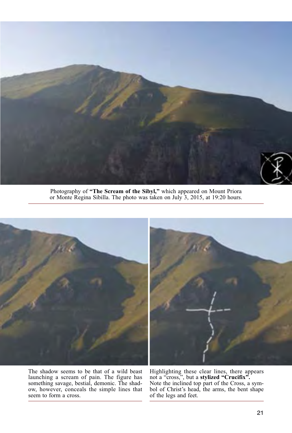

Photography of **"The Scream of the Sibyl,"** which appeared on Mount Priora or Monte Regina Sibilla. The photo was taken on July 3, 2015, at 19:20 hours.





The shadow seems to be that of a wild beast launching a scream of pain. The figure has something savage, bestial, demonic. The shadow, however, conceals the simple lines that seem to form a cross.

Highlighting these clear lines, there appears not a "cross,", but a **stylized "Crucifix".** Note the inclined top part of the Cross, a symbol of Christ's head, the arms, the bent shape of the legs and feet.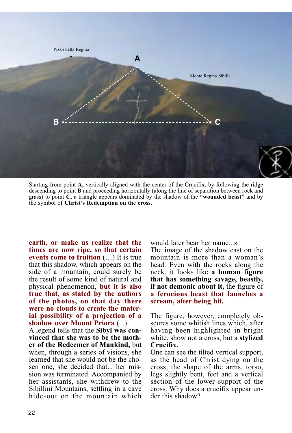

Starting from point **A,** vertically aligned with the center of the Crucifix, by following the ridge descending to point **B** and proceeding horizontally (along the line of separation between rock and grass) to point **C,** a triangle appears dominated by the shadow of the **"wounded beast"** and by the symbol of **Christ's Redemption on the cross.**

**earth, or make us realize that the times are now ripe, so that certain events come to fruition** (…) It is true that this shadow, which appears on the side of a mountain, could surely be the result of some kind of natural and physical phenomenon, **but it is also true that, as stated by the authors of the photos, on that day there were no clouds to create the material possibility of a projection of a shadow over Mount Priora** (...)

A legend tells that the **Sibyl was convinced that she was to be the mother of the Redeemer of Mankind,** but when, through a series of visions, she learned that she would not be the chosen one, she decided that... her mission was terminated. Accompanied by her assistants, she withdrew to the Sibillini Mountains, settling in a cave hide-out on the mountain which would later bear her name...»

The image of the shadow cast on the mountain is more than a woman's head. Even with the rocks along the neck, it looks like **a human figure that has something savage, beastly, if not demonic about it,** the figure of **a ferocious beast that launches a scream, after being hit.**

The figure, however, completely obscures some whitish lines which, after having been highlighted in bright white, show not a cross, but a **stylized Crucifix.**

One can see the tilted vertical support, as the head of Christ dying on the cross, the shape of the arms, torso, legs slightly bent, feet and a vertical section of the lower support of the cross. Why does a crucifix appear under this shadow?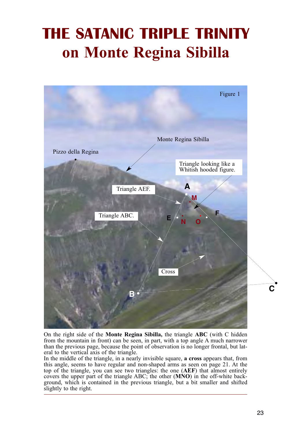# **THE SATANIC TRIPLE TRINITY on Monte Regina Sibilla**



On the right side of the **Monte Regina Sibilla,** the triangle **ABC** (with C hidden from the mountain in front) can be seen, in part, with a top angle A much narrower than the previous page, because the point of observation is no longer frontal, but lateral to the vertical axis of the triangle.

In the middle of the triangle, in a nearly invisible square, **a cross** appears that, from this angle, seems to have regular and non-shaped arms as seen on page 21. At the top of the triangle, you can see two triangles: the one (**AEF**) that almost entirely covers the upper part of the triangle ABC; the other (**MNO**) in the off-white background, which is contained in the previous triangle, but a bit smaller and shifted slightly to the right.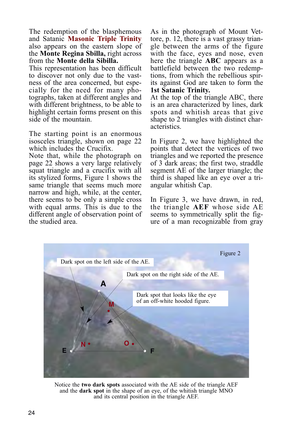The redemption of the blasphemous and Satanic **Masonic Triple Trinity** also appears on the eastern slope of the **Monte Regina Sbilla,** right across from the **Monte della Sibilla.**

This representation has been difficult to discover not only due to the vastness of the area concerned, but especially for the need for many photographs, taken at different angles and with different brightness, to be able to highlight certain forms present on this side of the mountain.

The starting point is an enormous isosceles triangle, shown on page 22 which includes the Crucifix.

Note that, while the photograph on page 22 shows a very large relatively squat triangle and a crucifix with all its stylized forms, Figure 1 shows the same triangle that seems much more narrow and high, while, at the center, there seems to be only a simple cross with equal arms. This is due to the different angle of observation point of the studied area.

As in the photograph of Mount Vettore, p. 12, there is a vast grassy triangle between the arms of the figure with the face, eyes and nose, even here the triangle **ABC** appears as a battlefield between the two redemptions, from which the rebellious spirits against God are taken to form the **1st Satanic Trinity.**

At the top of the triangle ABC, there is an area characterized by lines, dark spots and whitish areas that give shape to 2 triangles with distinct characteristics.

In Figure 2, we have highlighted the points that detect the vertices of two triangles and we reported the presence of 3 dark areas; the first two, straddle segment AE of the larger triangle; the third is shaped like an eye over a triangular whitish Cap.

In Figure 3, we have drawn, in red, the triangle **AEF** whose side AE seems to symmetrically split the figure of a man recognizable from gray



Notice the **two dark spots** associated with the AE side of the triangle AEF and the **dark spot** in the shape of an eye, of the whitish triangle MNO and its central position in the triangle AEF.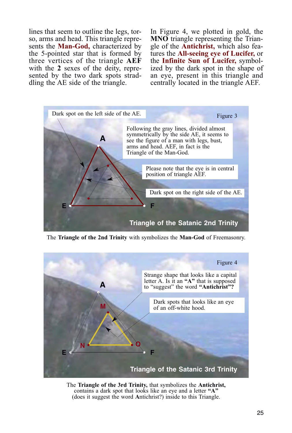lines that seem to outline the legs, torso, arms and head. This triangle represents the **Man-God,** characterized by the 5-pointed star that is formed by three vertices of the triangle **AEF** with the **2** sexes of the deity, represented by the two dark spots straddling the AE side of the triangle.

In Figure 4, we plotted in gold, the **MNO** triangle representing the Triangle of the **Antichrist,** which also features the **All-seeing eye of Lucifer,** or the **Infinite Sun of Lucifer,** symbolized by the dark spot in the shape of an eye, present in this triangle and centrally located in the triangle AEF.



The **Triangle of the 2nd Trinity** with symbolizes the **Man-God** of Freemasonry.



The **Triangle of the 3rd Trinity,** that symbolizes the **Antichrist,** contains a dark spot that looks like an eye and a letter **"A"** (does it suggest the word **A**ntichrist?) inside to this Triangle.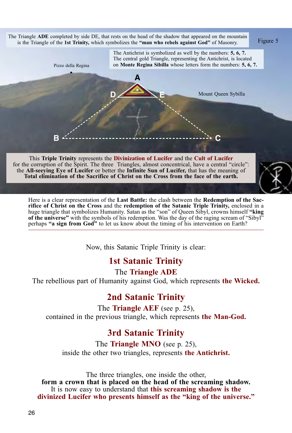

the **All-seeying Eye of Lucifer** or better the **Infinite Sun of Lucifer,** that has the meaning of **Total elimination of the Sacrifice of Christ on the Cross from the face of the earth.**

Here is a clear representation of the **Last Battle:** the clash between the **Redemption of the Sacrifice of Christ on the Cross** and the **redemption of the Satanic Triple Trinity,** enclosed in a huge triangle that symbolizes Humanity. Satan as the "son" of Queen Sibyl, crowns himself **"king of the universe"** with the symbols of his redemption. Was the day of the raging scream of "Sibyl" perhaps **"a sign from God"** to let us know about the timing of his intervention on Earth?

Now, this Satanic Triple Trinity is clear:

#### **1st Satanic Trinity**

The **Triangle ADE**

The rebellious part of Humanity against God, which represents **the Wicked.**

#### **2nd Satanic Trinity**

The **Triangle AEF** (see p. 25), contained in the previous triangle, which represents **the Man-God.**

#### **3rd Satanic Trinity**

The **Triangle MNO** (see p. 25), inside the other two triangles, represents **the Antichrist.**

The three triangles, one inside the other, **form a crown that is placed on the head of the screaming shadow.** It is now easy to understand that **this screaming shadow is the divinized Lucifer who presents himself as the "king of the universe."**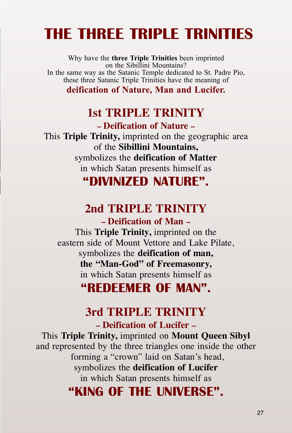# **THE THREE TRIPLE TRINITIES**

Why have the **three Triple Trinities** been imprinted on the Sibillini Mountains? In the same way as the Satanic Temple dedicated to St. Padre Pio, these three Satanic Triple Trinities have the meaning of

**deification of Nature, Man and Lucifer.**

### **1st TRIPLE TRINITY**

**– Deification of Nature –** This **Triple Trinity,** imprinted on the geographic area of the **Sibillini Mountains,** symbolizes the **deification of Matter** in which Satan presents himself as **"DIVINIZED NATURE".**

## **2nd TRIPLE TRINITY**

**– Deification of Man –** This **Triple Trinity,** imprinted on the eastern side of Mount Vettore and Lake Pilate, symbolizes the **deification of man, the "Man-God" of Freemasonry,** in which Satan presents himself as

## **"REDEEMER OF MAN".**

### **3rd TRIPLE TRINITY**

**– Deification of Lucifer –**

This **Triple Trinity,** imprinted on **Mount Queen Sibyl** and represented by the three triangles one inside the other forming a "crown" laid on Satan's head, symbolizes the **deification of Lucifer** in which Satan presents himself as **"KING OF THE UNIVERSE".**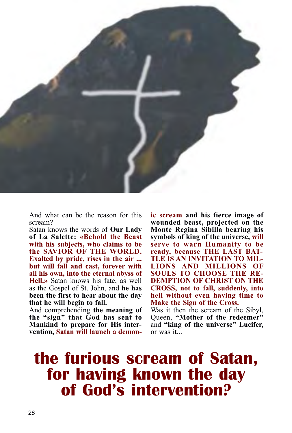

And what can be the reason for this scream?

Satan knows the words of **Our Lady of La Salette: «Behold the Beast with his subjects, who claims to be the SAVIOR OF THE WORLD. Exalted by pride, rises in the air ... but will fall and cast, forever with all his own, into the eternal abyss of Hell.»** Satan knows his fate, as well as the Gospel of St. John, and **he has been the first to hear about the day that he will begin to fall.**

And comprehending **the meaning of the "sign" that God has sent to Mankind to prepare for His intervention, Satan will launch a demon-** **ic scream and his fierce image of wounded beast, projected on the Monte Regina Sibilla bearing his symbols of king of the universe, will serve to warn Humanity to be ready, because THE LAST BAT-TLE IS AN INVITATION TO MIL-LIONS AND MILLIONS OF SOULS TO CHOOSE THE RE-DEMPTION OF CHRIST ON THE CROSS, not to fall, suddenly, into hell without even having time to Make the Sign of the Cross.**

Was it then the scream of the Sibyl, Queen, **"Mother of the redeemer"** and **"king of the universe" Lucifer,** or was it...

## **the furious scream of Satan, for having known the day of God's intervention?**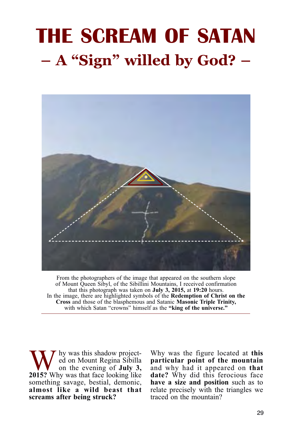# **THE SCREAM OF SATAN – A "Sign" willed by God? –**



From the photographers of the image that appeared on the southern slope of Mount Queen Sibyl, of the Sibillini Mountains, I received confirmation that this photograph was taken on **July 3, 2015,** at **19:20** hours. In the image, there are highlighted symbols of the **Redemption of Christ on the Cross** and those of the blasphemous and Satanic **Masonic Triple Trinity,** with which Satan "crowns" himself as the **"king of the universe."**

Why was this shadow project-<br>
on the evening of **July 3,**<br>
2015? Why was that face looking like ed on Mount Regina Sibilla **2015?** Why was that face looking like something savage, bestial, demonic, **almost like a wild beast that screams after being struck?**

Why was the figure located at **this particular point of the mountain** and why had it appeared on **that date?** Why did this ferocious face **have a size and position** such as to relate precisely with the triangles we traced on the mountain?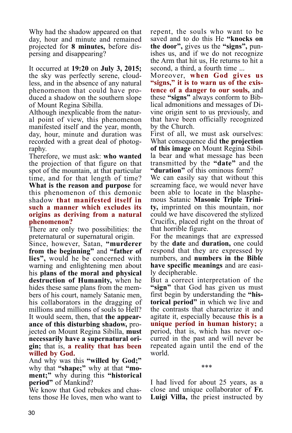Why had the shadow appeared on that day, hour and minute and remained projected for **8 minutes,** before dispersing and disappearing?

It occurred at **19:20** on **July 3, 2015;** the sky was perfectly serene, cloudless, and in the absence of any natural phenomenon that could have produced a shadow on the southern slope of Mount Regina Sibilla.

Although inexplicable from the natural point of view, this phenomenon manifested itself and the year, month, day, hour, minute and duration was recorded with a great deal of photography.

Therefore, we must ask: **who wanted** the projection of that figure on that spot of the mountain, at that particular time, and for that length of time? **What is the reason and purpose** for this phenomenon of this demonic shadow **that manifested itself in such a manner which excludes its origins as deriving from a natural phenomenon?**

There are only two possibilities: the preternatural or supernatural origin.

Since, however, Satan, **"murderer from the beginning"** and **"father of lies",** would he be concerned with warning and enlightening men about his **plans of the moral and physical destruction of Humanity,** when he hides these same plans from the members of his court, namely Satanic men, his collaborators in the dragging of millions and millions of souls to Hell? It would seem, then, that **the appearance of this disturbing shadow,** projected on Mount Regina Sibilla, **must necessarily have a supernatural origin;** that is, **a reality that has been willed by God.**

And why was this **"willed by God;"** why that **"shape;"** why at that **"moment;"** why during this **"historical period"** of Mankind?

We know that God rebukes and chastens those He loves, men who want to repent, the souls who want to be saved and to do this He **"knocks on the door",** gives us the **"signs",** punishes us, and if we do not recognize the Arm that hit us, He returns to hit a second, a third, a fourth time ...

Moreover, **when God gives us "signs," it is to warn us of the existence of a danger to our souls,** and these **"signs"** always conform to Biblical admonitions and messages of Divine origin sent to us previously, and that have been officially recognized by the Church.

First of all, we must ask ourselves: What consequence did **the projection of this image** on Mount Regina Sibilla bear and what message has been transmitted by the **"date"** and the **"duration"** of this ominous form?

We can easily say that without this screaming face, we would never have been able to locate in the blasphemous Satanic **Masonic Triple Trinity,** imprinted on this mountain, nor could we have discovered the stylized Crucifix, placed right on the throat of that horrible figure.

For the meanings that are expressed by the **date** and **duration,** one could respond that they are expressed by numbers, and **numbers in the Bible have specific meanings** and are easily decipherable.

But a correct interpretation of the **"sign"** that God has given us must first begin by understanding the **"historical period"** in which we live and the contrasts that characterize it and agitate it, especially because **this is a unique period in human history;** a period, that is, which has never occurred in the past and will never be repeated again until the end of the world.

\*\*\*

I had lived for about 25 years, as a close and unique collaborator of **Fr. Luigi Villa,** the priest instructed by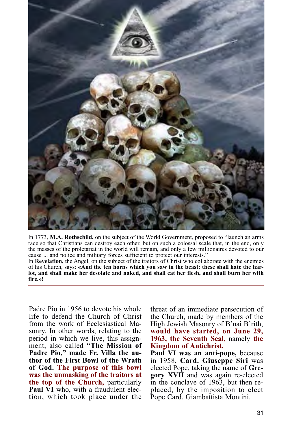

In 1773, **M.A. Rothschild,** on the subject of the World Government, proposed to "launch an arms race so that Christians can destroy each other, but on such a colossal scale that, in the end, only the masses of the proletariat in the world will remain, and only a few millionaires devoted to our cause ... and police and military forces sufficient to protect our interests."

In **Revelation,** the Angel, on the subject of the traitors of Christ who collaborate with the enemies of his Church, says: **«And the ten horns which you saw in the beast: these shall hate the harlot, and shall make her desolate and naked, and shall eat her flesh, and shall burn her with fire.»!**

Padre Pio in 1956 to devote his whole life to defend the Church of Christ from the work of Ecclesiastical Masonry. In other words, relating to the period in which we live, this assignment, also called **"The Mission of Padre Pio," made Fr. Villa the author of the First Bowl of the Wrath of God. The purpose of this bowl was the unmasking of the traitors at the top of the Church,** particularly Paul VI who, with a fraudulent election, which took place under the

threat of an immediate persecution of the Church, made by members of the High Jewish Masonry of B'nai B'rith, **would have started, on June 29, 1963, the Seventh Seal,** namely **the Kingdom of Antichrist.**

**Paul VI was an anti-pope,** because in 1958, **Card. Giuseppe Siri** was elected Pope, taking the name of **Gregory XVII** and was again re-elected in the conclave of 1963, but then replaced, by the imposition to elect Pope Card. Giambattista Montini.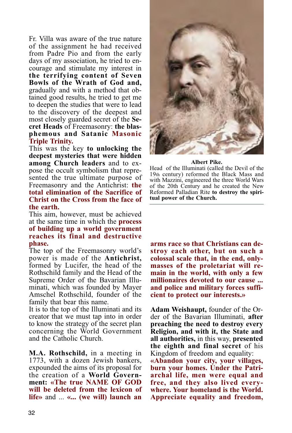Fr. Villa was aware of the true nature of the assignment he had received from Padre Pio and from the early days of my association, he tried to encourage and stimulate my interest in **the terrifying content of Seven Bowls of the Wrath of God and,** gradually and with a method that obtained good results, he tried to get me to deepen the studies that were to lead to the discovery of the deepest and most closely guarded secret of the **Secret Heads** of Freemasonry: **the blasphemous and Satanic Masonic Triple Trinity.**

This was the key **to unlocking the deepest mysteries that were hidden among Church leaders** and to expose the occult symbolism that represented the true ultimate purpose of Freemasonry and the Antichrist: **the total elimination of the Sacrifice of Christ on the Cross from the face of the earth.**

This aim, however, must be achieved at the same time in which the **process of building up a world government reaches its final and destructive phase.** 

The top of the Freemasonry world's power is made of the **Antichrist,** formed by Lucifer, the head of the Rothschild family and the Head of the Supreme Order of the Bavarian Illuminati, which was founded by Mayer Amschel Rothschild, founder of the family that bear this name.

It is to the top of the Illuminati and its creator that we must tap into in order to know the strategy of the secret plan concerning the World Government and the Catholic Church.

**M.A. Rothschild,** in a meeting in 1773, with a dozen Jewish bankers, expounded the aims of its proposal for the creation of a **World Government: «The true NAME OF GOD will be deleted from the lexicon of life»** and ... **«... (we will) launch an**



#### **Albert Pike.**

Head of the Illuminati (called the Devil of the 19th century) reformed the Black Mass and with Mazzini, engineered the three World Wars of the 20th Century and he created the New Reformed Palladian Rite **to destroy the spiritual power of the Church.**

**arms race so that Christians can destroy each other, but on such a colossal scale that, in the end, onlymasses of the proletariat will remain in the world, with only a few millionaires devoted to our cause ... and police and military forces sufficient to protect our interests.»**

**Adam Weishaupt,** founder of the Order of the Bavarian Illuminati, **after preaching the need to destroy every Religion, and with it, the State and all authorities,** in this way, **presented the eighth and final secret** of his Kingdom of freedom and equality: **«Abandon your city, your villages, burn your homes. Under the Patriarchal life, men were equal and free, and they also lived everywhere. Your homeland is the World.**

**Appreciate equality and freedom,**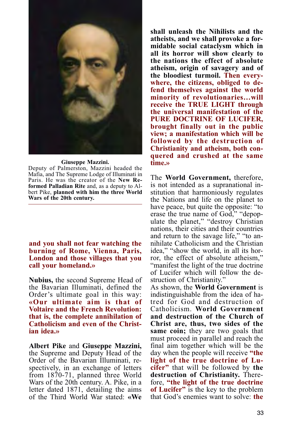

#### **Giuseppe Mazzini.**

Deputy of Palmerston, Mazzini headed the Mafia, and The Supreme Lodge of Illuminati in Paris. He was the creator of the **New Reformed Palladian Rite** and, as a deputy to Albert Pike, **planned with him the three World Wars of the 20th century.**

**and you shall not fear watching the burning of Rome, Vienna, Paris, London and those villages that you call your homeland.»**

**Nubius,** the second Supreme Head of the Bavarian Illuminati, defined the Order's ultimate goal in this way: **«Our ultimate aim is that of Voltaire and the French Revolution: that is, the complete annihilation of Catholicism and even of the Christian idea.»**

**Albert Pike** and **Giuseppe Mazzini,** the Supreme and Deputy Head of the Order of the Bavarian Illuminati, respectively, in an exchange of letters from 1870-71, planned three World Wars of the 20th century. A. Pike, in a letter dated 1871, detailing the aims of the Third World War stated: **«We**

**shall unleash the Nihilists and the atheists, and we shall provoke a formidable social cataclysm which in all its horror will show clearly to the nations the effect of absolute atheism, origin of savagery and of the bloodiest turmoil. Then everywhere, the citizens, obliged to defend themselves against the world minority of revolutionaries…will receive the TRUE LIGHT through the universal manifestation of the PURE DOCTRINE OF LUCIFER, brought finally out in the public view; a manifestation which will be followed by the destruction of Christianity and atheism, both conquered and crushed at the same time.»**

The **World Government,** therefore, is not intended as a supranational institution that harmoniously regulates the Nations and life on the planet to have peace, but quite the opposite: "to erase the true name of God," "depopulate the planet," "destroy Christian nations, their cities and their countries and return to the savage life," "to annihilate Catholicism and the Christian idea," "show the world, in all its horror, the effect of absolute atheism," "manifest the light of the true doctrine of Lucifer which will follow the destruction of Christianity."

As shown, the **World Government** is indistinguishable from the idea of hatred for God and destruction of Catholicism. **World Government and destruction of the Church of Christ are, thus, two sides of the same coin;** they are two goals that must proceed in parallel and reach the final aim together which will be the day when the people will receive **"the light of the true doctrine of Lucifer"** that will be followed by **the destruction of Christianity.** Therefore, **"the light of the true doctrine of Lucifer"** is the key to the problem that God's enemies want to solve: **the**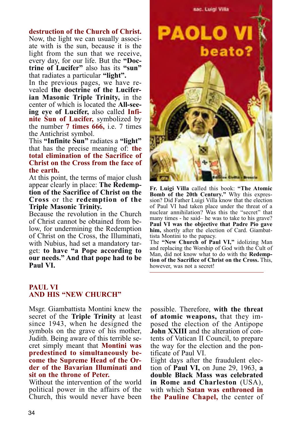#### **destruction of the Church of Christ.**

Now, the light we can usually associate with is the sun, because it is the light from the sun that we receive, every day, for our life. But the **"Doctrine of Lucifer"** also has its **"sun"** that radiates a particular **"light".**

In the previous pages, we have revealed **the doctrine of the Luciferian Masonic Triple Trinity,** in the center of which is located the **All-seeing eye of Lucifer,** also called **Infinite Sun of Lucifer,** symbolized by the number **7 times 666,** i.e. 7 times the Antichrist symbol.

This **"Infinite Sun"** radiates a **"light"** that has the precise meaning of: **the total elimination of the Sacrifice of Christ on the Cross from the face of the earth.**

At this point, the terms of major clush appear clearly in place: **The Redemption of the Sacrifice of Christ on the Cross** or the **redemption of the Triple Masonic Trinity.**

Because the revolution in the Church of Christ cannot be obtained from below, for undermining the Redemption of Christ on the Cross, the Illuminati, with Nubius, had set a mandatory target: **to have "a Pope according to our needs." And that pope had to be Paul VI.**



**Fr. Luigi Villa** called this book: **"The Atomic Bomb of the 20th Century."** Why this expression? Did Father Luigi Villa know that the election of Paul VI had taken place under the threat of a nuclear annihilation? Was this the "secret" that many times - he said– he was to take to his grave? **Paul VI was the objective that Padre Pio gave him,** shortly after the election of Card. Giambattista Montini to the papacy.

The **"New Church of Paul VI,"** idolizing Man and replacing the Worship of God with the Cult of Man, did not know what to do with the **Redemption of the Sacrifice of Christ on the Cross.** This, however, was not a secret!

#### **PAUL VI AND HIS "NEW CHURCH"**

Msgr. Giambattista Montini knew the secret of the **Triple Trinity** at least since 1943, when he designed the symbols on the grave of his mother, Judith. Being aware of this terrible secret simply meant that **Montini was predestined to simultaneously become the Supreme Head of the Order of the Bavarian Illuminati and sit on the throne of Peter.**

Without the intervention of the world political power in the affairs of the Church, this would never have been possible. Therefore, **with the threat of atomic weapons,** that they imposed the election of the Antipope **John XXIII** and the alteration of contents of Vatican II Council, to prepare the way for the election and the pontificate of Paul VI.

Eight days after the fraudulent election of **Paul VI,** on June 29, 1963, **a double Black Mass was celebrated in Rome and Charleston** (USA), with which **Satan was enthroned in the Pauline Chapel,** the center of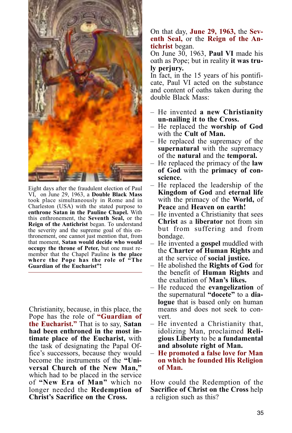

Eight days after the fraudulent election of Paul VI, on June 29, 1963, a **Double Black Mass** took place simultaneously in Rome and in Charleston (USA) with the stated purpose to **enthrone Satan in the Pauline Chapel.** With this enthronement, the **Seventh Seal,** or the **Reign of the Antichrist** began. To understand the severity and the supreme goal of this enthronement, one cannot just mention that, from that moment, **Satan would decide who would occupy the throne of Peter,** but one must remember that the Chapel Pauline **is the place where the Pope has the role of "The Guardian of the Eucharist"!**

Christianity, because, in this place, the Pope has the role of **"Guardian of the Eucharist."** That is to say, **Satan had been enthroned in the most intimate place of the Eucharist,** with the task of designating the Papal Office's successors, because they would become the instruments of the **"Universal Church of the New Man,"** which had to be placed in the service of **"New Era of Man"** which no longer needed the **Redemption of Christ's Sacrifice on the Cross.**

On that day, **June 29, 1963,** the **Seventh Seal,** or the **Reign of the Antichrist** began.

On June 30, 1963, **Paul VI** made his oath as Pope; but in reality **it was truly perjury.**

In fact, in the 15 years of his pontificate, Paul VI acted on the substance and content of oaths taken during the double Black Mass:

- He invented **a new Christianity un-nailing it to the Cross.**
- He replaced the **worship of God** with the **Cult of Man.**
- He replaced the supremacy of the **supernatural** with the supremacy of the **natural** and the **temporal.**
- He replaced the primacy of the **law of God** with the **primacy of conscience.**
- He replaced the leadership of the **Kingdom of God** and **eternal life** with the primacy of the **World,** of **Peace** and **Heaven on earth!**
- He invented a Christianity that sees **Christ** as a **liberator** not from sin but from suffering and from bondage.
- He invented a **gospel** muddled with the **Charter of Human Rights** and at the service of **social justice.**
- He abolished the **Rights of God** for the benefit of **Human Rights** and the exaltation of **Man's likes.**
- He reduced the **evangelization** of the supernatural **"docete"** to a **dialogue** that is based only on human means and does not seek to convert.
- He invented a Christianity that, idolizing Man, proclaimed **Religious Liberty** to be **a fundamental and absolute right of Man.** – **He promoted a false love for Man**
- **on which he founded His Religion of Man.**

How could the Redemption of the **Sacrifice of Christ on the Cross** help a religion such as this?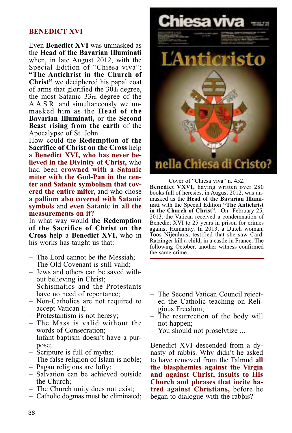#### **BENEDICT XVI**

Even **Benedict XVI** was unmasked as the **Head of the Bavarian Illuminati** when, in late August 2012, with the Special Edition of "Chiesa viva": **"The Antichrist in the Church of Christ"** we deciphered his papal coat of arms that glorified the 30th degree, the most Satanic 33rd degree of the A.A.S.R. and simultaneously we unmasked him as the **Head of the Bavarian Illuminati,** or the **Second Beast rising from the earth** of the Apocalypse of St. John.

How could the **Redemption of the Sacrifice of Christ on the Cross** help a **Benedict XVI, who has never believed in the Divinity of Christ,** who had been **crowned with a Satanic miter with the God-Pan in the center and Satanic symbolism that covered the entire miter,** and who chose **a pallium also covered with Satanic symbols** and **even Satanic in all the measurements on it?**

In what way would the **Redemption of the Sacrifice of Christ on the Cross** help a **Benedict XVI,** who in his works has taught us that:

- The Lord cannot be the Messiah;
- The Old Covenant is still valid;
- Jews and others can be saved without believing in Christ;
- Schismatics and the Protestants have no need of repentance;
- Non-Catholics are not required to accept Vatican I;
- Protestantism is not heresy;
- The Mass is valid without the words of Consecration;
- Infant baptism doesn't have a purpose;
- Scripture is full of myths;
- The false religion of Islam is noble;
- Pagan religions are lofty;
- Salvation can be achieved outside the Church;
- The Church unity does not exist;
- Catholic dogmas must be eliminated;



Cover of "Chiesa viva" n. 452. **Benedict VXVI,** having written over 280 books full of heresies, in August 2012, was unmasked as the **Head of the Bavarian Illuminati** with the Special Edition **"The Antichrist in the Church of Christ".** On February 25, 2013, the Vatican received a condemnation of Benedict XVI to 25 years in prison for crimes against Humanity. In 2013, a Dutch woman, Toos Nijenhuis, testified that she saw Card. Ratzinger kill a child, in a castle in France. The following October, another witness confirmed the same crime.

- The Second Vatican Council rejected the Catholic teaching on Religious Freedom;
- The resurrection of the body will not happen;
- You should not proselytize ...

Benedict XVI descended from a dynasty of rabbis. Why didn't he asked to have removed from the Talmud **all the blasphemies against the Virgin and against Christ, insults to His Church and phrases that incite hatred against Christians,** before he began to dialogue with the rabbis?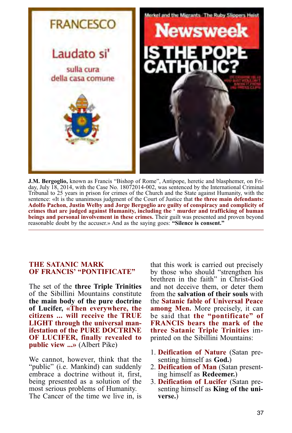

**J.M. Bergoglio,** known as Francis "Bishop of Rome", Antipope, heretic and blasphemer, on Friday, July 18, 2014, with the Case No. 18072014-002, was sentenced by the International Criminal Tribunal to 25 years in prison for crimes of the Church and the State against Humanity, with the sentence: «It is the unanimous judgment of the Court of Justice that **the three main defendants: Adolfo Pachon, Justin Welby and Jorge Bergoglio are guilty of conspiracy and complicity of crimes that are judged against Humanity, including the ' murder and trafficking of human beings and personal involvement in these crimes.** Their guilt was presented and proven beyond reasonable doubt by the accuser.» And as the saying goes: **"Silence is consent."**

#### **THE SATANIC MARK OF FRANCIS' "PONTIFICATE"**

The set of the **three Triple Trinities** of the Sibillini Mountains constitute **the main body of the pure doctrine of Lucifer, «Then everywhere, the citizens ... will receive the TRUE LIGHT through the universal manifestation of the PURE DOCTRINE OF LUCIFER, finally revealed to public view ...»** (Albert Pike)

We cannot, however, think that the "public" (i.e. Mankind) can suddenly embrace a doctrine without it, first, being presented as a solution of the most serious problems of Humanity. The Cancer of the time we live in, is

that this work is carried out precisely by those who should "strengthen his brethren in the faith" in Christ-God and not deceive them, or deter them from the **salvation of their souls** with the **Satanic fable of Universal Peace among Men.** More precisely, it can be said that **the "pontificate" of FRANCIS bears the mark of the three Satanic Triple Trinities** imprinted on the Sibillini Mountains:

- 1. **Deification of Nature** (Satan presenting himself as **God.**)
- 2. **Deification of Man** (Satan presenting himself as **Redeemer.**)
- 3. **Deification of Lucifer** (Satan presenting himself as **King of the universe.**)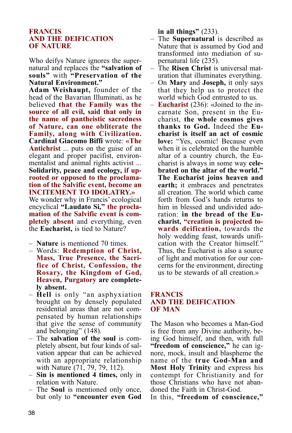#### **FRANCIS AND THE DEIFICATION OF NATURE**

Who deifys Nature ignores the supernatural and replaces the **"salvation of souls"** with **"Preservation of the Natural Environment."**

**Adam Weishaupt,** founder of the head of the Bavarian Illuminati, as he believed **that the Family was the source of all evil, said that only in the name of pantheistic sacredness of Nature, can one obliterate the Family, along with Civilization. Cardinal Giacomo Biffi** wrote: **«The Antichrist** ... puts on the guise of an elegant and proper pacifist, environmentalist and animal rights activist ... **Solidarity, peace and ecology, if uprooted or opposed to the proclamation of the Salvific event, become an INCITEMENT TO IDOLATRY.»** We wonder why in Francis' ecological encyclical **"Laudato Si," the proclamation of the Salvific event is completely absent** and everything, even the **Eucharist,** is tied to Nature?

– **Nature** is mentioned 70 times.

- Words: **Redemption of Christ, Mass, True Presence, the Sacrifice of Christ, Confession, the Rosary, the Kingdom of God, Heaven, Purgatory are completely absent.**
- **Hell** is only "an asphyxiation brought on by densely populated residential areas that are not compensated by human relationships that give the sense of community and belonging" (148).
- The **salvation of the soul** is completely absent, but four kinds of salvation appear that can be achieved with an appropriate relationship with Nature (71, 79, 79, 112).
- **Sin is mentioned 4 times,** only in relation with Nature.
- The **Soul** is mentioned only once, but only to **"encounter even God**

**in all things"** (233).

- The **Supernatural** is described as Nature that is assumed by God and transformed into mediation of supernatural life (235).
- The **Risen Christ** is universal maturation that illuminates everything.
- On **Mary** and **Joseph,** it only says that they help us to protect the world which God entrusted to us.
- **Eucharist** (236): «Joined to the incarnate Son, present in the Eucharist, **the whole cosmos gives thanks to God.** Indeed the **Eucharist is itself an act of cosmic love:** "Yes, cosmic! Because even when it is celebrated on the humble altar of a country church, the Eucharist is always in some way **celebrated on the altar of the world." The Eucharist joins heaven and earth;** it embraces and penetrates all creation. The world which came forth from God's hands returns to him in blessed and undivided adoration: **in the bread of the Eucharist, "creation is projected towards deification,** towards the holy wedding feast, towards unification with the Creator himself." Thus, the Eucharist is also a source of light and motivation for our concerns for the environment, directing us to be stewards of all creation.»

#### **FRANCIS AND THE DEIFICATION OF MAN**

The Mason who becomes a Man-God is free from any Divine authority, being God himself, and then, with full **"freedom of conscience,"** he can ignore, mock, insult and blaspheme the name of the **true God-Man and Most Holy Trinity** and express his contempt for Christianity and for those Christians who have not abandoned the Faith in Christ-God.

In this, **"freedom of conscience,"**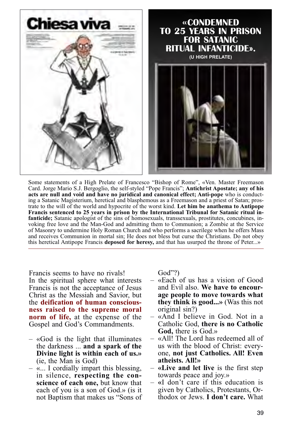

Some statements of a High Prelate of Francesco "Bishop of Rome", «Ven. Master Freemason Card. Jorge Mario S.J. Bergoglio, the self-styled "Pope Francis"; **Antichrist Apostate; any of his acts are null and void and have no juridical and canonical effect; Anti-pope** who is conducting a Satanic Magisterium, heretical and blasphemous as a Freemason and a priest of Satan; prostrate to the will of the world and hypocrite of the worst kind. **Let him be anathema to Antipope Francis sentenced to 25 years in prison by the International Tribunal for Satanic ritual infanticide;** Satanic apologist of the sins of homosexuals, transsexuals, prostitutes, concubines, invoking free love and the Man-God and admitting them to Communion; a Zombie at the Service of Masonry to undermine Holy Roman Church and who performs a sacrilege when he offers Mass and receives Communion in mortal sin; He does not bless but curse the Christians. Do not obey this heretical Antipope Francis **deposed for heresy,** and that has usurped the throne of Peter...»

Francis seems to have no rivals! In the spiritual sphere what interests Francis is not the acceptance of Jesus Christ as the Messiah and Savior, but the **deification of human consciousness raised to the supreme moral norm of life,** at the expense of the Gospel and God's Commandments.

- «God is the light that illuminates the darkness ... **and a spark of the Divine light is within each of us.»** (ie, the Man is God)
- «... I cordially impart this blessing, in silence, **respecting the conscience of each one,** but know that each of you is a son of God.» (is it not Baptism that makes us "Sons of

God"?)

- «Each of us has a vision of Good and Evil also. **We have to encourage people to move towards what they think is good...»** (Was this not original sin?)
- «And I believe in God. Not in a Catholic God, **there is no Catholic God,** there is God.»
- «All! The Lord has redeemed all of us with the blood of Christ: everyone, **not just Catholics. All! Even atheists. All!»**
- **«Live and let live** is the first step
- $-$  «I don't care if this education is given by Catholics, Protestants, Orthodox or Jews. **I don't care.** What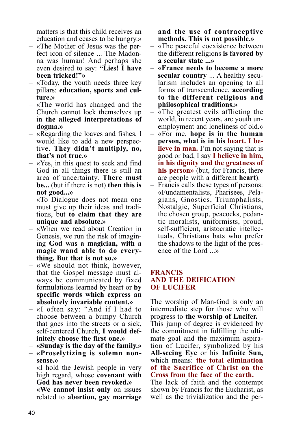matters is that this child receives an education and ceases to be hungry.»

- «The Mother of Jesus was the perfect icon of silence ... The Madonna was human! And perhaps she even desired to say: **"Lies! I have been tricked!"»**
- «Today, the youth needs three key pillars: **education, sports and culture.»**
- «The world has changed and the Church cannot lock themselves up in **the alleged interpretations of dogma.»**
- «Regarding the loaves and fishes, I would like to add a new perspective. **They didn't multiply, no, that's not true.»**
- «Yes, in this quest to seek and find God in all things there is still an area of uncertainty. **There must be...** (but if there is not) **then this is not good...»**
- «To Dialogue does not mean one must give up their ideas and traditions, but **to claim that they are unique and absolute.»**
- «When we read about Creation in Genesis, we run the risk of imagining **God was a magician, with a magic wand able to do everything. But that is not so.»**
- «We should not think, however, that the Gospel message must always be communicated by fixed formulations learned by heart or **by spe cific words which express an** absolutely invariable content.»
- «I often say: "And if I had to choose between a bumpy Church that goes into the streets or a sick, self-centered Church, **I would def-**
- **initely choose the first one.» «Sunday is the day of the family.» «Proselytizing is solemn non-**
- **sense.»**
- «I hold the Jewish people in very high regard, whose **covenant with God has never been revoked.»**
- **«We cannot insist only** on issues related to **abortion, gay marriage**

**and the use of contraceptive methods. This is not possible.»**

- «The peaceful coexistence between the different religions **is favored by a secular state ...»**
- **«France needs to become a more secular country** ... A healthy secularism includes an opening to all forms of transcendence, **according to the different religious and philosophical traditions.»**
- «The greatest evils afflicting the world, in recent years, are youth unemployment and loneliness of old.»
- «For me, **hope is in the human person, what is in his heart. I believe in man.** I'm not saying that is good or bad, I say **I believe in him, in his dignity and the greatness of his person»** (but, for Francis, there are people with a different **heart**).
- Francis calls these types of persons: «Fundamentalists, Pharisees, Pelagians, Gnostics, Triumphalists, Nostalgic, Superficial Christians, the chosen group, peacocks, pedantic moralists, uniformists, proud, self-sufficient, aristocratic intellectuals, Christians bats who prefer the shadows to the light of the presence of the Lord ...»

#### **FRANCIS AND THE DEIFICATION OF LUCIFER**

The worship of Man-God is only an intermediate step for those who will progress to **the worship of Lucifer.** This jump of degree is evidenced by the commitment in fulfilling the ultimate goal and the maximum aspiration of Lucifer, symbolized by his **All-seeing Eye** or his **Infinite Sun,** which means: **the total elimination of the Sacrifice of Christ on the Cross from the face of the earth.**

The lack of faith and the contempt shown by Francis for the Eucharist, as well as the trivialization and the per-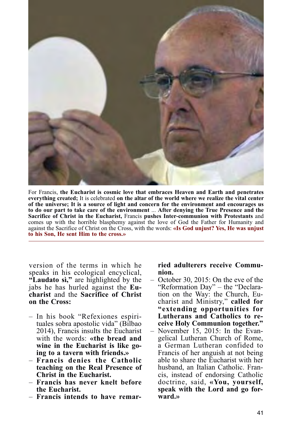

For Francis, **the Eucharist is cosmic love that embraces Heaven and Earth and penetrates everything created;** It is celebrated **on the altar of the world where we realize the vital center of the universe; It is a source of light and concern for the environment and encourages us to do our part to take care of the environment** ... **After denying the True Presence and the Sacrifice of Christ in the Eucharist,** Francis **pushes Inter-communion with Protestants** and comes up with the horrible blasphemy against the love of God the Father for Humanity and against the Sacrifice of Christ on the Cross, with the words: **«Is God unjust? Yes, He was unjust to his Son, He sent Him to the cross.»**

version of the terms in which he speaks in his ecological encyclical, **"Laudato sì,"** are highlighted by the jabs he has hurled against the **Eucharist** and the **Sacrifice of Christ on the Cross:**

- In his book "Refexiones espirituales sobra apostolic vida" (Bilbao 2014), Francis insults the Eucharist with the words: **«the bread and wine in the Eucharist is like go-**
- **ing to a tavern with friends.» Francis denies the Catholic teaching on the Real Presence of Christ in the Eucharist.**
- **Francis has never knelt before the Eucharist.**
- **Francis intends to have remar-**

#### **ried adulterers receive Communion.**

– October 30, 2015: On the eve of the "Reformation Day" – the "Declaration on the Way: the Church, Eucharist and Ministry," **called for "extending opportunities for Lutherans and Catholics to receive Holy Communion together."** – November 15, 2015: In the Evangelical Lutheran Church of Rome, a German Lutheran confided to Francis of her anguish at not being able to share the Eucharist with her husband, an Italian Catholic. Francis, instead of endorsing Catholic doctrine, said, **«You, yourself, speak with the Lord and go forward.»**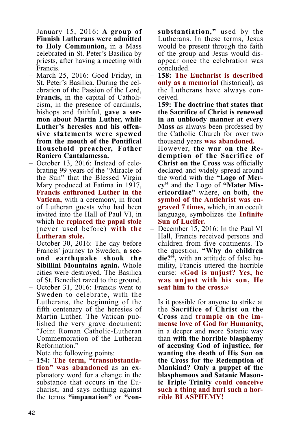- January 15, 2016: **A group of Finnish Lutherans were admitted to Holy Communion,** in a Mass celebrated in St. Peter's Basilica by priests, after having a meeting with Francis.
- March 25, 2016: Good Friday, in St. Peter's Basilica. During the celebration of the Passion of the Lord, **Francis,** in the capital of Catholicism, in the presence of cardinals, bishops and faithful, **gave a sermon about Martin Luther, while Luther's heresies and his offensive statements were spewed from the mouth of the Pontifical Household preacher, Father Raniero Cantalamessa.**
- October 13, 2016: Instead of celebrating 99 years of the "Miracle of the Sun" that the Blessed Virgin Mary produced at Fatima in 1917, **Francis enthroned Luther in the Vatican,** with a ceremony, in front of Lutheran guests who had been invited into the Hall of Paul VI, in which **he replaced the papal stole** (never used before) **with the Lutheran stole.**
- October 30, 2016: The day before Francis' journey to Sweden, **a second earthquake shook the Sibillini Mountains again.** Whole cities were destroyed. The Basilica of St. Benedict razed to the ground.
- October 31, 2016: Francis went to Sweden to celebrate, with the Lutherans, the beginning of the fifth centenary of the heresies of Martin Luther. The Vatican published the very grave document: "Joint Roman Catholic-Lutheran Commemoration of the Lutheran Reformation."<br>Note the following points:

 $-$  154: The term, "transubstantia**tion" was abandoned** as an explanatory word for a change in the substance that occurs in the Eucharist, and says nothing against the terms **"impanation"** or **"con-** **substantiation,"** used by the Lutherans. In these terms, Jesus would be present through the faith of the group and Jesus would disappear once the celebration was concluded.

- **158: The Eucharist is described only as a memorial** (historical), as the Lutherans have always conceived.
- **159: The doctrine that states that the Sacrifice of Christ is renewed in an unbloody manner at every Mass** as always been professed by the Catholic Church for over two thousand years **was abandoned.**
- However, **the war on the Redemption of the Sacrifice of Christ on the Cross** was officially declared and widely spread around the world with the **"Logo of Mercy"** and the Logo of **"Mater Misericordiae"** where, on both, **the symbol of the Antichrist was engraved 7 times,** which, in an occult language, symbolizes the **Infinite Sun of Lucifer.**
- December 15, 2016: In the Paul VI Hall, Francis received persons and children from five continents. To the question. **"Why do children die?",** with an attitude of false humility, Francis uttered the horrible curse: **«God is unjust? Yes, he was unjust with his son, He sent him to the cross.»**

Is it possible for anyone to strike at the **Sacrifice of Christ on the Cross** and **trample on the immense love of God for Humanity,** in a deeper and more Satanic way than **with the horrible blasphemy of accusing God of injustice, for wanting the death of His Son on the Cross for the Redemption of Mankind? Only a puppet of the blasphemous and Satanic Masonic Triple Trinity could conceive such a thing and hurl such a hor- rible BLASPHEMY!**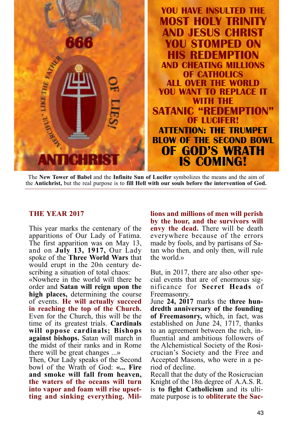

The **New Tower of Babel** and the **Infinite Sun of Lucifer** symbolizes the means and the aim of the **Antichrist,** but the real purpose is to **fill Hell with our souls before the intervention of God.**

#### **THE YEAR 2017**

This year marks the centenary of the apparitions of Our Lady of Fatima. The first apparition was on May 13, and on **July 13, 1917,** Our Lady spoke of the **Three World Wars** that would erupt in the 20th century describing a situation of total chaos:

«Nowhere in the world will there be order and **Satan will reign upon the high places,** determining the course of events. **He will actually succeed in reaching the top of the Church.** Even for the Church, this will be the time of its greatest trials. **Cardinals will oppose cardinals; Bishops against bishops.** Satan will march in the midst of their ranks and in Rome there will be great changes ...»

Then, Our Lady speaks of the Second bowl of the Wrath of God: **«... Fire and smoke will fall from heaven, the waters of the oceans will turn into vapor and foam will rise upsetting and sinking everything. Mil-** **lions and millions of men will perish by the hour, and the survivors will envy the dead.** There will be death everywhere because of the errors made by fools, and by partisans of Satan who then, and only then, will rule the world.»

But, in 2017, there are also other special events that are of enormous significance for **Secret Heads** of Freemasonry.

June **24, 2017** marks the **three hundredth anniversary of the founding of Freemasonry,** which, in fact, was established on June 24, 1717, thanks to an agreement between the rich, influential and ambitious followers of the Alchemistical Society of the Rosicrucian's Society and the Free and Accepted Masons, who were in a period of decline.

Recall that the duty of the Rosicrucian Knight of the 18th degree of A.A.S. R. is **to fight Catholicism** and its ultimate purpose is to **obliterate the Sac-**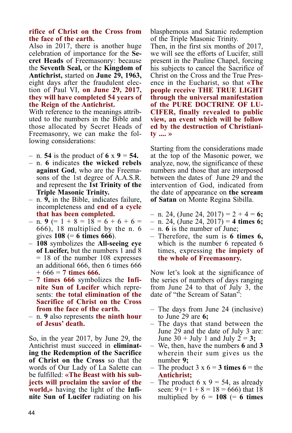#### **rifice of Christ on the Cross from the face of the earth.**

Also in 2017, there is another huge celebration of importance for the **Secret Heads** of Freemasonry: because the **Seventh Seal,** or the **Kingdom of Antichrist,** started on **June 29, 1963,** eight days after the fraudulent election of Paul VI, **on June 29, 2017, they will have completed 54 years of the Reign of the Antichrist.**

With reference to the meanings attributed to the numbers in the Bible and those allocated by Secret Heads of Freemasonry, we can make the following considerations:

 $-$  n. **54** is the product of **6** x **9** = **54.** 

- n. **6** indicates **the wicked rebels against God**, who are the Freemasons of the 1st degree of A.A.S.R. and represent the **1st Trinity of the Triple Masonic Trinity.**
- n. **9,** in the Bible, indicates failure, incompleteness and **end of a cycle that has been completed.**
- $-$  n. **9** (= 1 + 8 = 18 = 6 + 6 + 6 = 666), 18 multiplied by the n. 6 gives **108** (= **6 times 666**).<br>- **108** symbolizes the **All-seeing eye**
- **of Lucifer,** but the numbers 1 and 8 = 18 of the number 108 expresses an additional 666, then 6 times 666
- $+ 666 = 7$  times 666.<br>  $7$  times 666 symbolizes the **Infinite Sun of Lucifer** which represents: **the total elimination of the Sacrifice of Christ on the Cross from the face of the earth.**
- n. **9** also represents **the ninth hour of Jesus' death.**

So, in the year 2017, by June 29, the Antichrist must succeed in **eliminating the Redemption of the Sacrifice of Christ on the Cross** so that the words of Our Lady of La Salette can be fulfilled: **«The Beast with his subjects will proclaim the savior of the world,»** having the light of the **Infinite Sun of Lucifer** radiating on his

blasphemous and Satanic redemption of the Triple Masonic Trinity.

Then, in the first six months of 2017, we will see the efforts of Lucifer, still present in the Pauline Chapel, forcing his subjects to cancel the Sacrifice of Christ on the Cross and the True Presence in the Eucharist, so that **«The people receive THE TRUE LIGHT through the universal manifestation of the PURE DOCTRINE OF LU-CIFER, finally revealed to public view, an event which will be follow ed by the destruction of Christianity .... »**

Starting from the considerations made at the top of the Masonic power, we analyze, now, the significance of these numbers and those that are interposed between the dates of June 29 and the intervention of God, indicated from the date of appearance on **the scream of Satan** on Monte Regina Sibilla.

- n. 24, (June 24, 2017) = 2 + 4 = **6;**
- n. 24, (June 24, 2017) = **4 times 6;**
- n. **6** is the number of June;
- Therefore, the sum is **6 times 6,** which is the number 6 repeated 6 times, expressing **the impiety of the whole of Freemasonry.**

Now let's look at the significance of the series of numbers of days ranging from June 24 to that of July 3, the date of "the Scream of Satan":

- The days from June 24 (inclusive) to June 29 are **6;**
- The days that stand between the June 29 and the date of July 3 are: June 30 + July 1 and July 2 = **3;**
- We, then, have the numbers **6** and **3** wherein their sum gives us the number **9;**
- The product  $3 \times 6 = 3$  times  $6 =$  the **Antichrist;**
- The product 6 x 9 = 54, as already seen:  $9 (= 1 + 8 = 18 = 666)$  that 18 multiplied by  $6 = 108$  (= 6 times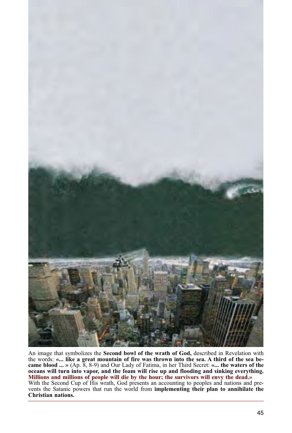

An image that symbolizes the **Second bowl of the wrath of God,** described in Revelation with the words: **«... like a great mountain of fire was thrown into the sea. A third of the sea became blood ... »** (Ap. 8, 8-9) and Our Lady of Fatima, in her Third Secret: **«... the waters of the oceans will turn into vapor, and the foam will rise up and flooding and sinking everything. Millions and millions of people will die by the hour; the survivors will envy the dead.»** With the Second Cup of His wrath, God presents an accounting to peoples and nations and prevents the Satanic powers that run the world from **implementing their plan to annihilate the Christian nations.**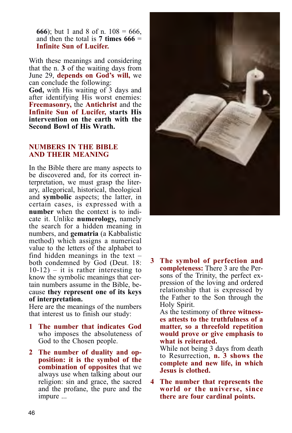**666**); but 1 and 8 of n.  $108 = 666$ , and then the total is **7 times 666** = **Infinite Sun of Lucifer.**

With these meanings and considering that the n. **3** of the waiting days from June 29, **depends on God's will,** we can conclude the following:

**God,** with His waiting of 3 days and after identifying His worst enemies: **Freemasonry,** the **Antichrist** and the **Infinite Sun of Lucifer, starts His intervention on the earth with the Second Bowl of His Wrath.**

#### **NUMBERS IN THE BIBLE AND THEIR MEANING**

In the Bible there are many aspects to be discovered and, for its correct interpretation, we must grasp the literary, allegorical, historical, theological and **symbolic** aspects; the latter, in certain cases, is expressed with a **number** when the context is to indicate it. Unlike **numerology,** namely the search for a hidden meaning in numbers, and **gematria** (a Kabbalistic method) which assigns a numerical value to the letters of the alphabet to find hidden meanings in the text  $$ both condemned by God (Deut. 18:  $10-12$ ) – it is rather interesting to know the symbolic meanings that certain numbers assume in the Bible, because **they represent one of its keys of interpretation.**

Here are the meanings of the numbers that interest us to finish our study:

- **1 The number that indicates God** who imposes the absoluteness of God to the Chosen people.
- **2 The number of duality and opposition: it is the symbol of the combination of opposites** that we always use when talking about our religion: sin and grace, the sacred and the profane, the pure and the impure ...



**3 The symbol of perfection and completeness:** There 3 are the Persons of the Trinity, the perfect expression of the loving and ordered relationship that is expressed by the Father to the Son through the Holy Spirit.

As the testimony of **three witnesses attests to the truthfulness of a matter, so a threefold repetition would prove or give emphasis to what is reiterated.**

While not being 3 days from death to Resurrection, **n. 3 shows the complete and new life, in which Jesus is clothed.**

**4 The number that represents the world or the universe, since there are four cardinal points.**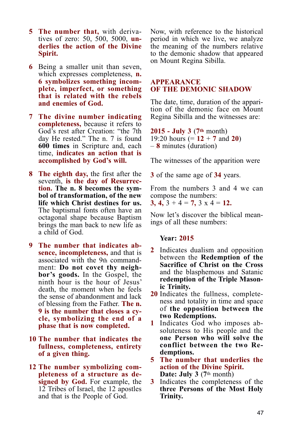- **5 The number that,** with derivatives of zero: 50, 500, 5000, **underlies the action of the Divine Spirit.**
- **6** Being a smaller unit than seven, which expresses completeness, **n. 6 symbolizes something incomplete, imperfect, or something that is related with the rebels and enemies of God.**
- **7 The divine number indicating completeness,** because it refers to God's rest after Creation: "the 7th day He rested." The n. 7 is found **600 times** in Scripture and, each time, **indicates an action that is accomplished by God's will.**
- **8 The eighth day,** the first after the seventh, **is the day of Resurrection. The n. 8 becomes the symbol of transformation, of the new life which Christ destines for us.** The baptismal fonts often have an octagonal shape because Baptism brings the man back to new life as a child of God.
- **9 The number that indicates absence, incompleteness,** and that is associated with the 9th commandment: **Do not covet thy neighbor's goods.** In the Gospel, the ninth hour is the hour of Jesus' death, the moment when he feels the sense of abandonment and lack of blessing from the Father. **The n. 9 is the number that closes a cycle, symbolizing the end of a phase that is now completed.**
- **10 The number that indicates the fullness, completeness, entirety of a given thing.**
- **12 The number symbolizing completeness of a structure as designed by God.** For example, the 12 Tribes of Israel, the 12 apostles and that is the People of God.

Now, with reference to the historical period in which we live, we analyze the meaning of the numbers relative to the demonic shadow that appeared on Mount Regina Sibilla.

#### **APPEARANCE OF THE DEMONIC SHADOW**

The date, time, duration of the apparition of the demonic face on Mount Regina Sibilla and the witnesses are:

**2015 - July 3** (**7th** month) 19:20 hours (= **12** + **7** and **20**) – **8** minutes (duration)

The witnesses of the apparition were

**3** of the same age of **34** years.

From the numbers 3 and 4 we can compose the numbers:

**3, 4,**  $3 + 4 = 7$ ,  $3 \times 4 = 12$ .

Now let's discover the biblical meanings of all these numbers:

#### **Year: 2015**

- **2** Indicates dualism and opposition between the **Redemption of the Sacrifice of Christ on the Cross** and the blasphemous and Satanic **redemption of the Triple Masonic Trinity.**
- **20** Indicates the fullness, completeness and totality in time and space of **the opposition between the two Redemptions.**
- **1** Indicates God who imposes absoluteness to His people and the **one Person who will solve the conflict between the two Redemptions.**
- **5 The number that underlies the action of the Divine Spirit. Date: July 3** (**7**th month)
- **3** Indicates the completeness of the **three Persons of the Most Holy Trinity.**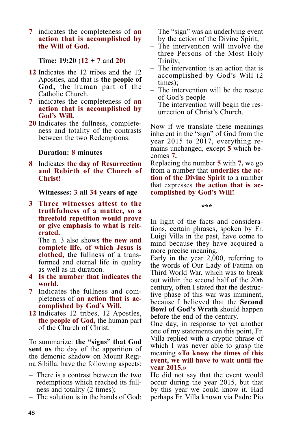**7** indicates the completeness of **an action that is accomplished by the Will of God.**

**Time: 19:20** (**12** + **7** and **20**)

- **12** Indicates the 12 tribes and the 12 Apostles, and that is **the people of God,** the human part of the Catholic Church.
- **7** indicates the completeness of **an action that is accomplished by God's Will.**
- **20** Indicates the fullness, completeness and totality of the contrasts between the two Redemptions.

#### **Duration: 8 minutes**

**8** Indicates **the day of Resurrection and Rebirth of the Church of Christ!**

**Witnesses: 3 all 34 years of age**

**3 Three witnesses attest to the truthfulness of a matter, so a threefold repetition would prove or give emphasis to what is reiterated.** 

The n. 3 also shows **the new and complete life, of which Jesus is clothed,** the fullness of a transformed and eternal life in quality as well as in duration.

- **4 Is the number that indicates the world.**
- **7** Indicates the fullness and completeness of **an action that is accomplished by God's Will.**
- **12** Indicates 12 tribes, 12 Apostles, **the people of God,** the human part of the Church of Christ.

To summarize: **the "signs" that God sent us** the day of the apparition of the demonic shadow on Mount Regina Sibilla, have the following aspects:

- There is a contrast between the two redemptions which reached its fullness and totality (2 times);
- The solution is in the hands of God;
- The "sign" was an underlying event by the action of the Divine Spirit;
- The intervention will involve the three Persons of the Most Holy Trinity;
- The intervention is an action that is accomplished by God's Will (2 times);
- The intervention will be the rescue of God's people
- The intervention will begin the resurrection of Christ's Church.

Now if we translate these meanings inherent in the "sign" of God from the year 2015 to 2017, everything remains unchanged, except **5** which becomes **7.**

Replacing the number **5** with **7,** we go from a number that **underlies the action of the Divine Spirit** to a number that expresses **the action that is accomplished by God's Will!**

**\*\*\***

In light of the facts and considerations, certain phrases, spoken by Fr. Luigi Villa in the past, have come to mind because they have acquired a more precise meaning.

Early in the year 2,000, referring to the words of Our Lady of Fatima on Third World War, which was to break out within the second half of the 20th century, often I stated that the destructive phase of this war was imminent, because I believed that the **Second Bowl of God's Wrath** should happen before the end of the century.

One day, in response to yet another one of my statements on this point, Fr. Villa replied with a cryptic phrase of which I was never able to grasp the meaning **«To know the times of this event, we will have to wait until the year 2015.»**

He did not say that the event would occur during the year 2015, but that by this year we could know it. Had perhaps Fr. Villa known via Padre Pio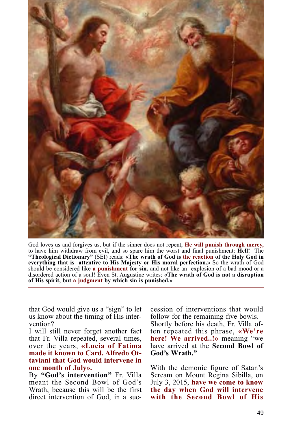

God loves us and forgives us, but if the sinner does not repent, **He will punish through mercy,** to have him withdraw from evil, and so spare him the worst and final punishment: **Hell!** The **"Theological Dictionary"** (SEI) reads: **«The wrath of God is the reaction of the Holy God in everything that is attentive to His Majesty or His moral perfection.»** So the wrath of God should be considered like **a punishment for sin,** and not like an explosion of a bad mood or a disordered action of a soul! Even St. Augustine writes: **«The wrath of God is not a disruption of His spirit, but a judgment by which sin is punished.»**

that God would give us a "sign" to let us know about the timing of His intervention?

I will still never forget another fact that Fr. Villa repeated, several times, over the years, **«Lucia of Fatima made it known to Card. Alfredo Ottaviani that God would intervene in one month of July».**

By **"God's intervention"** Fr. Villa meant the Second Bowl of God's Wrath, because this will be the first direct intervention of God, in a succession of interventions that would follow for the remaining five bowls. Shortly before his death, Fr. Villa often repeated this phrase, **«We're here! We arrived..!»** meaning "we have arrived at the **Second Bowl of God's Wrath."**

With the demonic figure of Satan's Scream on Mount Regina Sibilla, on July 3, 2015, **have we come to know the day when God will intervene with the Second Bowl of His**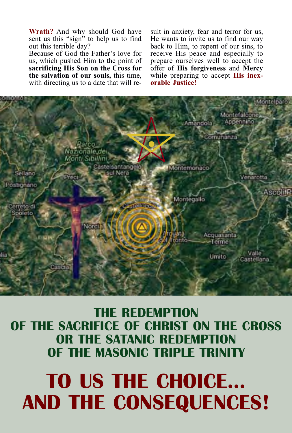# **TO US THE CHOICE... AND THE CONSEQUENCES!**

### **THE REDEMPTION OF THE SACRIFICE OF CHRIST ON THE CROSS OR THE SATANIC REDEMPTION OF THE MASONIC TRIPLE TRINITY**



sent us this "sign" to help us to find out this terrible day? Because of God the Father's love for us, which pushed Him to the point of **sacrificing His Son on the Cross for the salvation of our souls,** this time,

with directing us to a date that will re-

**Wrath?** And why should God have

sult in anxiety, fear and terror for us, He wants to invite us to find our way back to Him, to repent of our sins, to receive His peace and especially to prepare ourselves well to accept the offer of **His forgiveness** and **Mercy** while preparing to accept **His inexorable Justice!**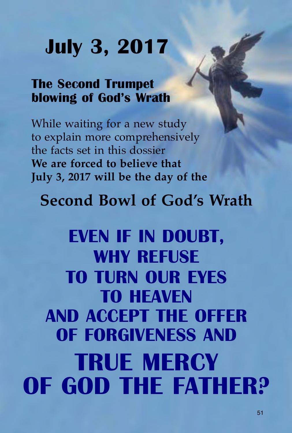# **July 3, 2017**

## **The Second Trumpet blowing of God's Wrath**

While waiting for a new study to explain more comprehensively the facts set in this dossier **We are forced to believe that July 3, 2017 will be the day of the**

# **Second Bowl of God's Wrath**

# **EVEN IF IN DOUBT, WHY REFUSE TO TURN OUR EYES TO HEAVEN AND ACCEPT THE OFFER OF FORGIVENESS AND TRUE MERCY OF GOD THE FATHER?**